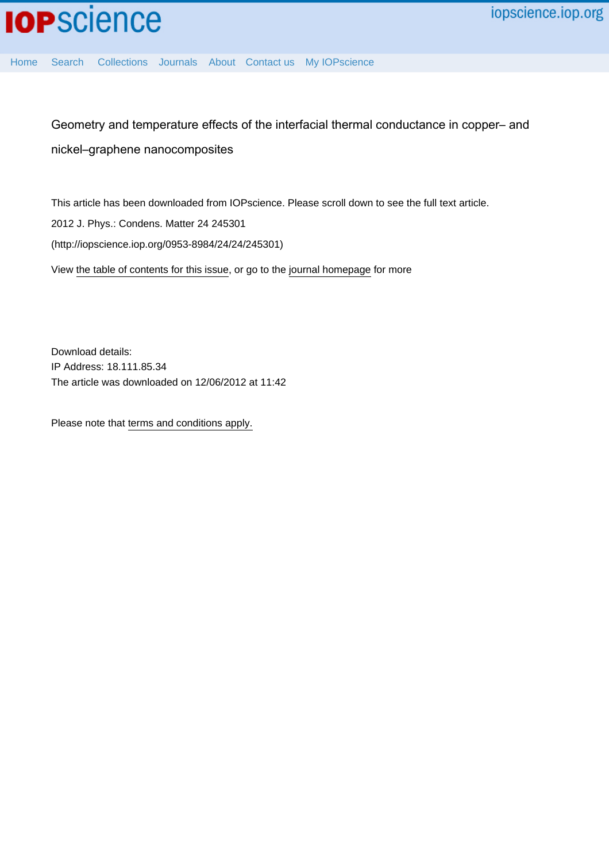[Home](http://iopscience.iop.org/) [Search](http://iopscience.iop.org/search) [Collections](http://iopscience.iop.org/collections) [Journals](http://iopscience.iop.org/journals) [About](http://iopscience.iop.org/page/aboutioppublishing) [Contact us](http://iopscience.iop.org/contact) [My IOPscience](http://iopscience.iop.org/myiopscience)

Geometry and temperature effects of the interfacial thermal conductance in copper– and nickel–graphene nanocomposites

This article has been downloaded from IOPscience. Please scroll down to see the full text article. 2012 J. Phys.: Condens. Matter 24 245301 (http://iopscience.iop.org/0953-8984/24/24/245301) View [the table of contents for this issue](http://iopscience.iop.org/0953-8984/24/24), or go to the [journal homepage](http://iopscience.iop.org/0953-8984) for more

Download details: IP Address: 18.111.85.34 The article was downloaded on 12/06/2012 at 11:42

Please note that [terms and conditions apply.](http://iopscience.iop.org/page/terms)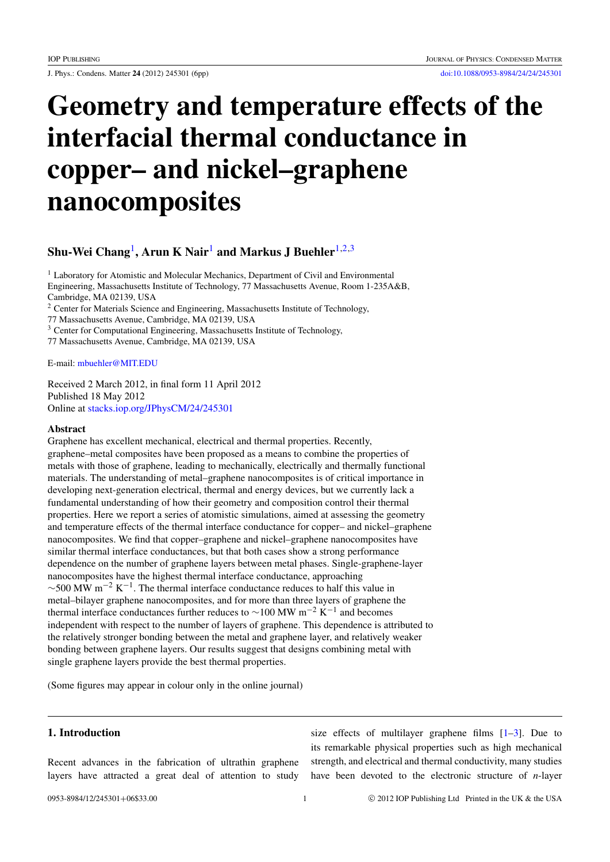# Geometry and temperature effects of the interfacial thermal conductance in copper– and nickel–graphene nanocomposites

# Shu-Wei Chang $^{\rm l}$ , Arun K Nair $^{\rm l}$  and Markus J Buehler $^{\rm l,2,3}$  $^{\rm l,2,3}$  $^{\rm l,2,3}$  $^{\rm l,2,3}$

<span id="page-1-0"></span><sup>1</sup> Laboratory for Atomistic and Molecular Mechanics, Department of Civil and Environmental Engineering, Massachusetts Institute of Technology, 77 Massachusetts Avenue, Room 1-235A&B, Cambridge, MA 02139, USA

<span id="page-1-1"></span><sup>2</sup> Center for Materials Science and Engineering, Massachusetts Institute of Technology,

77 Massachusetts Avenue, Cambridge, MA 02139, USA

<span id="page-1-2"></span><sup>3</sup> Center for Computational Engineering, Massachusetts Institute of Technology,

77 Massachusetts Avenue, Cambridge, MA 02139, USA

E-mail: [mbuehler@MIT.EDU](mailto:mbuehler@MIT.EDU)

Received 2 March 2012, in final form 11 April 2012 Published 18 May 2012 Online at [stacks.iop.org/JPhysCM/24/245301](http://stacks.iop.org/JPhysCM/24/245301)

#### Abstract

Graphene has excellent mechanical, electrical and thermal properties. Recently, graphene–metal composites have been proposed as a means to combine the properties of metals with those of graphene, leading to mechanically, electrically and thermally functional materials. The understanding of metal–graphene nanocomposites is of critical importance in developing next-generation electrical, thermal and energy devices, but we currently lack a fundamental understanding of how their geometry and composition control their thermal properties. Here we report a series of atomistic simulations, aimed at assessing the geometry and temperature effects of the thermal interface conductance for copper– and nickel–graphene nanocomposites. We find that copper–graphene and nickel–graphene nanocomposites have similar thermal interface conductances, but that both cases show a strong performance dependence on the number of graphene layers between metal phases. Single-graphene-layer nanocomposites have the highest thermal interface conductance, approaching  $\sim$ 500 MW m<sup>-2</sup> K<sup>-1</sup>. The thermal interface conductance reduces to half this value in metal–bilayer graphene nanocomposites, and for more than three layers of graphene the thermal interface conductances further reduces to ~100 MW m<sup>-2</sup> K<sup>-1</sup> and becomes independent with respect to the number of layers of graphene. This dependence is attributed to the relatively stronger bonding between the metal and graphene layer, and relatively weaker bonding between graphene layers. Our results suggest that designs combining metal with single graphene layers provide the best thermal properties.

(Some figures may appear in colour only in the online journal)

# 1. Introduction

Recent advances in the fabrication of ultrathin graphene layers have attracted a great deal of attention to study

size effects of multilayer graphene films  $[1-3]$  $[1-3]$ . Due to its remarkable physical properties such as high mechanical strength, and electrical and thermal conductivity, many studies have been devoted to the electronic structure of *n*-layer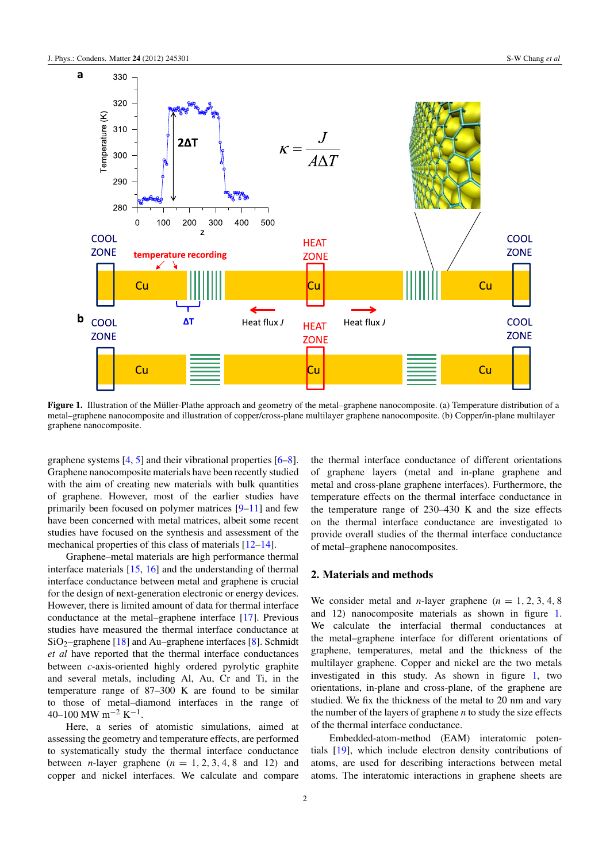<span id="page-2-0"></span>

Figure 1. Illustration of the Müller-Plathe approach and geometry of the metal–graphene nanocomposite. (a) Temperature distribution of a metal–graphene nanocomposite and illustration of copper/cross-plane multilayer graphene nanocomposite. (b) Copper/in-plane multilayer graphene nanocomposite.

graphene systems [\[4,](#page-5-2) [5\]](#page-5-3) and their vibrational properties [\[6–](#page-5-4)[8\]](#page-5-5). Graphene nanocomposite materials have been recently studied with the aim of creating new materials with bulk quantities of graphene. However, most of the earlier studies have primarily been focused on polymer matrices [\[9–](#page-5-6)[11\]](#page-5-7) and few have been concerned with metal matrices, albeit some recent studies have focused on the synthesis and assessment of the mechanical properties of this class of materials [\[12](#page-5-8)[–14\]](#page-5-9).

Graphene–metal materials are high performance thermal interface materials [\[15,](#page-5-10) [16\]](#page-5-11) and the understanding of thermal interface conductance between metal and graphene is crucial for the design of next-generation electronic or energy devices. However, there is limited amount of data for thermal interface conductance at the metal–graphene interface [\[17\]](#page-5-12). Previous studies have measured the thermal interface conductance at  $SiO<sub>2</sub>$ –graphene [\[18\]](#page-5-13) and Au–graphene interfaces [\[8\]](#page-5-5). Schmidt *et al* have reported that the thermal interface conductances between *c*-axis-oriented highly ordered pyrolytic graphite and several metals, including Al, Au, Cr and Ti, in the temperature range of 87–300 K are found to be similar to those of metal–diamond interfaces in the range of  $40-100$  MW m<sup>-2</sup> K<sup>-1</sup>.

Here, a series of atomistic simulations, aimed at assessing the geometry and temperature effects, are performed to systematically study the thermal interface conductance between *n*-layer graphene  $(n = 1, 2, 3, 4, 8, \text{ and } 12)$  and copper and nickel interfaces. We calculate and compare

the thermal interface conductance of different orientations of graphene layers (metal and in-plane graphene and metal and cross-plane graphene interfaces). Furthermore, the temperature effects on the thermal interface conductance in the temperature range of 230–430 K and the size effects on the thermal interface conductance are investigated to provide overall studies of the thermal interface conductance of metal–graphene nanocomposites.

# 2. Materials and methods

We consider metal and *n*-layer graphene  $(n = 1, 2, 3, 4, 8)$ and 12) nanocomposite materials as shown in figure [1.](#page-2-0) We calculate the interfacial thermal conductances at the metal–graphene interface for different orientations of graphene, temperatures, metal and the thickness of the multilayer graphene. Copper and nickel are the two metals investigated in this study. As shown in figure [1,](#page-2-0) two orientations, in-plane and cross-plane, of the graphene are studied. We fix the thickness of the metal to 20 nm and vary the number of the layers of graphene *n* to study the size effects of the thermal interface conductance.

Embedded-atom-method (EAM) interatomic potentials [\[19\]](#page-5-14), which include electron density contributions of atoms, are used for describing interactions between metal atoms. The interatomic interactions in graphene sheets are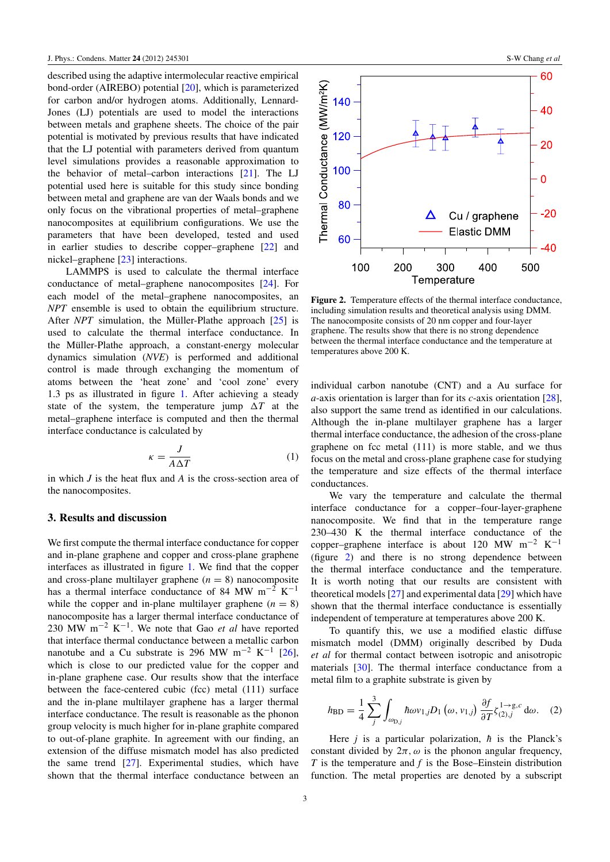described using the adaptive intermolecular reactive empirical bond-order (AIREBO) potential [\[20\]](#page-5-15), which is parameterized for carbon and/or hydrogen atoms. Additionally, Lennard-Jones (LJ) potentials are used to model the interactions between metals and graphene sheets. The choice of the pair potential is motivated by previous results that have indicated that the LJ potential with parameters derived from quantum level simulations provides a reasonable approximation to the behavior of metal–carbon interactions [\[21\]](#page-5-16). The LJ potential used here is suitable for this study since bonding between metal and graphene are van der Waals bonds and we only focus on the vibrational properties of metal–graphene nanocomposites at equilibrium configurations. We use the parameters that have been developed, tested and used in earlier studies to describe copper–graphene [\[22\]](#page-5-17) and nickel–graphene [\[23\]](#page-6-0) interactions.

LAMMPS is used to calculate the thermal interface conductance of metal–graphene nanocomposites [\[24\]](#page-6-1). For each model of the metal–graphene nanocomposites, an *NPT* ensemble is used to obtain the equilibrium structure. After *NPT* simulation, the Müller-Plathe approach  $[25]$  $[25]$  is used to calculate the thermal interface conductance. In the Müller-Plathe approach, a constant-energy molecular dynamics simulation (*NVE*) is performed and additional control is made through exchanging the momentum of atoms between the 'heat zone' and 'cool zone' every 1.3 ps as illustrated in figure [1.](#page-2-0) After achieving a steady state of the system, the temperature jump  $\Delta T$  at the metal–graphene interface is computed and then the thermal interface conductance is calculated by

$$
\kappa = \frac{J}{A\Delta T} \tag{1}
$$

in which *J* is the heat flux and *A* is the cross-section area of the nanocomposites.

#### 3. Results and discussion

We first compute the thermal interface conductance for copper and in-plane graphene and copper and cross-plane graphene interfaces as illustrated in figure [1.](#page-2-0) We find that the copper and cross-plane multilayer graphene  $(n = 8)$  nanocomposite has a thermal interface conductance of 84 MW m<sup>-2</sup> K<sup>-1</sup> while the copper and in-plane multilayer graphene  $(n = 8)$ nanocomposite has a larger thermal interface conductance of 230 MW m−<sup>2</sup> K −1 . We note that Gao *et al* have reported that interface thermal conductance between a metallic carbon nanotube and a Cu substrate is 296 MW m<sup>-2</sup> K<sup>-1</sup> [\[26\]](#page-6-3), which is close to our predicted value for the copper and in-plane graphene case. Our results show that the interface between the face-centered cubic (fcc) metal (111) surface and the in-plane multilayer graphene has a larger thermal interface conductance. The result is reasonable as the phonon group velocity is much higher for in-plane graphite compared to out-of-plane graphite. In agreement with our finding, an extension of the diffuse mismatch model has also predicted the same trend [\[27\]](#page-6-4). Experimental studies, which have shown that the thermal interface conductance between an

<span id="page-3-0"></span>

Figure 2. Temperature effects of the thermal interface conductance, including simulation results and theoretical analysis using DMM. The nanocomposite consists of 20 nm copper and four-layer graphene. The results show that there is no strong dependence between the thermal interface conductance and the temperature at temperatures above 200 K.

individual carbon nanotube (CNT) and a Au surface for *a*-axis orientation is larger than for its *c*-axis orientation [\[28\]](#page-6-5), also support the same trend as identified in our calculations. Although the in-plane multilayer graphene has a larger thermal interface conductance, the adhesion of the cross-plane graphene on fcc metal (111) is more stable, and we thus focus on the metal and cross-plane graphene case for studying the temperature and size effects of the thermal interface conductances.

We vary the temperature and calculate the thermal interface conductance for a copper–four-layer-graphene nanocomposite. We find that in the temperature range 230–430 K the thermal interface conductance of the copper–graphene interface is about 120 MW m<sup>-2</sup> K<sup>-1</sup> (figure [2\)](#page-3-0) and there is no strong dependence between the thermal interface conductance and the temperature. It is worth noting that our results are consistent with theoretical models [\[27\]](#page-6-4) and experimental data [\[29\]](#page-6-6) which have shown that the thermal interface conductance is essentially independent of temperature at temperatures above 200 K.

To quantify this, we use a modified elastic diffuse mismatch model (DMM) originally described by Duda *et al* for thermal contact between isotropic and anisotropic materials [\[30\]](#page-6-7). The thermal interface conductance from a metal film to a graphite substrate is given by

$$
h_{\rm BD} = \frac{1}{4} \sum_{j}^{3} \int_{\omega_{\rm D,j}} \hbar \omega v_{1,j} D_1(\omega, v_{1,j}) \frac{\partial f}{\partial T} \zeta_{(2),j}^{1 \to g,c} d\omega. \quad (2)
$$

Here *j* is a particular polarization,  $\hbar$  is the Planck's constant divided by  $2\pi$ ,  $\omega$  is the phonon angular frequency, *T* is the temperature and *f* is the Bose–Einstein distribution function. The metal properties are denoted by a subscript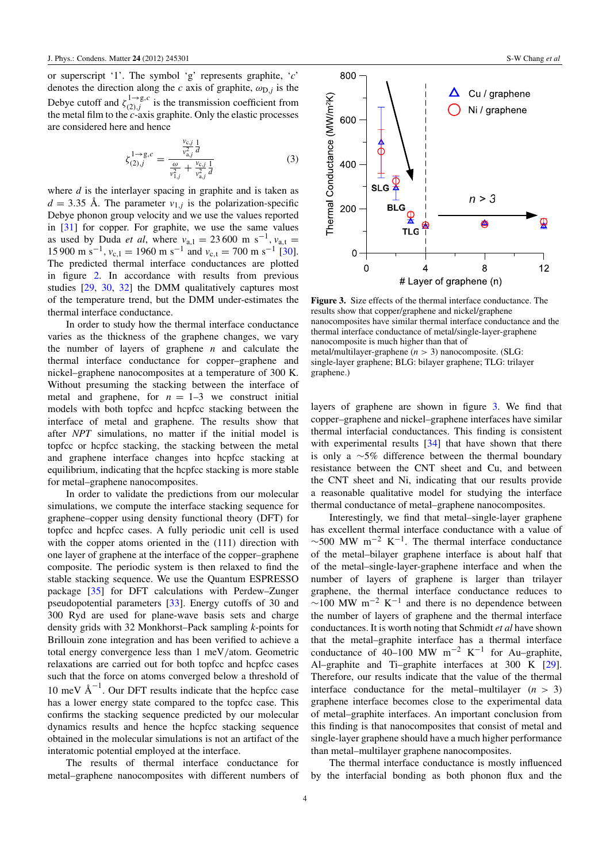or superscript '1'. The symbol 'g' represents graphite, '*c*' denotes the direction along the *c* axis of graphite,  $\omega_{D,j}$  is the Debye cutoff and  $\zeta_{(2)j}^{1\rightarrow g,c}$  $\sum_{(2),j}^{1\to g,c}$  is the transmission coefficient from the metal film to the *c*-axis graphite. Only the elastic processes are considered here and hence

$$
\zeta_{(2),j}^{1 \to g,c} = \frac{\frac{v_{c,j}}{v_{a,j}^2} \frac{1}{d}}{\frac{\omega}{v_{1,j}^2} + \frac{v_{c,j}}{v_{a,j}^2} \frac{1}{d}}
$$
(3)

where *d* is the interlayer spacing in graphite and is taken as  $d = 3.35$  Å. The parameter  $v_{1,j}$  is the polarization-specific Debye phonon group velocity and we use the values reported in [\[31\]](#page-6-8) for copper. For graphite, we use the same values as used by Duda *et al*, where  $v_{a,1} = 23,600 \text{ m s}^{-1}$ ,  $v_{a,t} =$ 15 900 m s<sup>-1</sup>,  $v_{c,1} = 1960$  m s<sup>-1</sup> and  $v_{c,t} = 700$  m s<sup>-1</sup> [\[30\]](#page-6-7). The predicted thermal interface conductances are plotted in figure [2.](#page-3-0) In accordance with results from previous studies [\[29,](#page-6-6) [30,](#page-6-7) [32\]](#page-6-9) the DMM qualitatively captures most of the temperature trend, but the DMM under-estimates the thermal interface conductance.

In order to study how the thermal interface conductance varies as the thickness of the graphene changes, we vary the number of layers of graphene *n* and calculate the thermal interface conductance for copper–graphene and nickel–graphene nanocomposites at a temperature of 300 K. Without presuming the stacking between the interface of metal and graphene, for  $n = 1-3$  we construct initial models with both topfcc and hcpfcc stacking between the interface of metal and graphene. The results show that after *NPT* simulations, no matter if the initial model is topfcc or hcpfcc stacking, the stacking between the metal and graphene interface changes into hcpfcc stacking at equilibrium, indicating that the hcpfcc stacking is more stable for metal–graphene nanocomposites.

In order to validate the predictions from our molecular simulations, we compute the interface stacking sequence for graphene–copper using density functional theory (DFT) for topfcc and hcpfcc cases. A fully periodic unit cell is used with the copper atoms oriented in the (111) direction with one layer of graphene at the interface of the copper–graphene composite. The periodic system is then relaxed to find the stable stacking sequence. We use the Quantum ESPRESSO package [\[35\]](#page-6-10) for DFT calculations with Perdew–Zunger pseudopotential parameters [\[33\]](#page-6-11). Energy cutoffs of 30 and 300 Ryd are used for plane-wave basis sets and charge density grids with 32 Monkhorst–Pack sampling *k*-points for Brillouin zone integration and has been verified to achieve a total energy convergence less than 1 meV/atom. Geometric relaxations are carried out for both topfcc and hcpfcc cases such that the force on atoms converged below a threshold of 10 meV  $\AA^{-1}$ . Our DFT results indicate that the hcpfcc case has a lower energy state compared to the topfcc case. This confirms the stacking sequence predicted by our molecular dynamics results and hence the hcpfcc stacking sequence obtained in the molecular simulations is not an artifact of the interatomic potential employed at the interface.

The results of thermal interface conductance for metal–graphene nanocomposites with different numbers of

<span id="page-4-0"></span>

Figure 3. Size effects of the thermal interface conductance. The results show that copper/graphene and nickel/graphene nanocomposites have similar thermal interface conductance and the thermal interface conductance of metal/single-layer-graphene nanocomposite is much higher than that of metal/multilayer-graphene (*n* > 3) nanocomposite. (SLG: single-layer graphene; BLG: bilayer graphene; TLG: trilayer graphene.)

layers of graphene are shown in figure [3.](#page-4-0) We find that copper–graphene and nickel–graphene interfaces have similar thermal interfacial conductances. This finding is consistent with experimental results [\[34\]](#page-6-12) that have shown that there is only a ∼5% difference between the thermal boundary resistance between the CNT sheet and Cu, and between the CNT sheet and Ni, indicating that our results provide a reasonable qualitative model for studying the interface thermal conductance of metal–graphene nanocomposites.

Interestingly, we find that metal–single-layer graphene has excellent thermal interface conductance with a value of  $\sim$ 500 MW m<sup>-2</sup> K<sup>-1</sup>. The thermal interface conductance of the metal–bilayer graphene interface is about half that of the metal–single-layer-graphene interface and when the number of layers of graphene is larger than trilayer graphene, the thermal interface conductance reduces to  $\sim$ 100 MW m<sup>-2</sup> K<sup>-1</sup> and there is no dependence between the number of layers of graphene and the thermal interface conductances. It is worth noting that Schmidt *et al* have shown that the metal–graphite interface has a thermal interface conductance of  $40-100$  MW m<sup>-2</sup> K<sup>-1</sup> for Au-graphite, Al–graphite and Ti–graphite interfaces at 300 K [\[29\]](#page-6-6). Therefore, our results indicate that the value of the thermal interface conductance for the metal–multilayer  $(n > 3)$ graphene interface becomes close to the experimental data of metal–graphite interfaces. An important conclusion from this finding is that nanocomposites that consist of metal and single-layer graphene should have a much higher performance than metal–multilayer graphene nanocomposites.

The thermal interface conductance is mostly influenced by the interfacial bonding as both phonon flux and the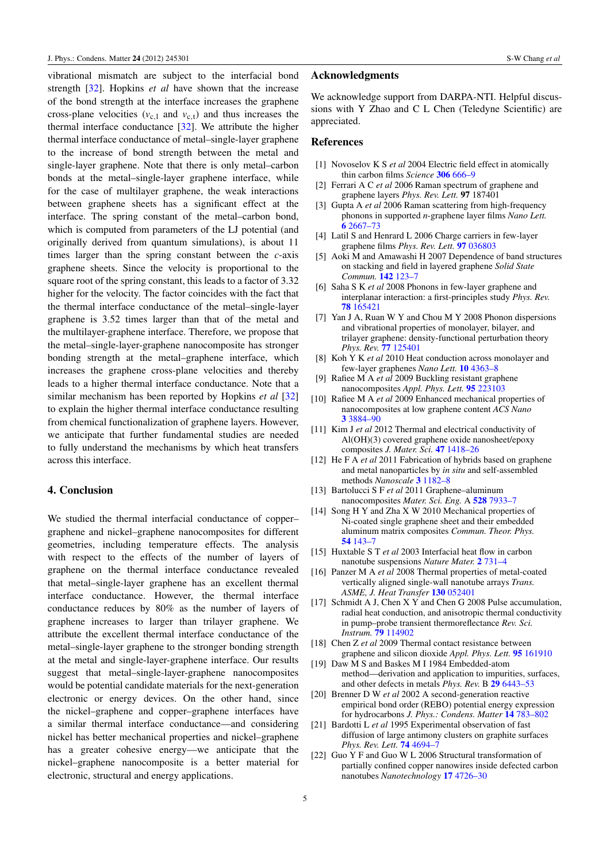vibrational mismatch are subject to the interfacial bond strength [\[32\]](#page-6-9). Hopkins *et al* have shown that the increase of the bond strength at the interface increases the graphene cross-plane velocities  $(v_{c,1}$  and  $v_{c,t}$ ) and thus increases the thermal interface conductance [\[32\]](#page-6-9). We attribute the higher thermal interface conductance of metal–single-layer graphene to the increase of bond strength between the metal and single-layer graphene. Note that there is only metal–carbon bonds at the metal–single-layer graphene interface, while for the case of multilayer graphene, the weak interactions between graphene sheets has a significant effect at the interface. The spring constant of the metal–carbon bond, which is computed from parameters of the LJ potential (and originally derived from quantum simulations), is about 11 times larger than the spring constant between the *c*-axis graphene sheets. Since the velocity is proportional to the square root of the spring constant, this leads to a factor of 3.32 higher for the velocity. The factor coincides with the fact that the thermal interface conductance of the metal–single-layer graphene is 3.52 times larger than that of the metal and the multilayer-graphene interface. Therefore, we propose that the metal–single-layer-graphene nanocomposite has stronger bonding strength at the metal–graphene interface, which increases the graphene cross-plane velocities and thereby leads to a higher thermal interface conductance. Note that a similar mechanism has been reported by Hopkins *et al* [\[32\]](#page-6-9) to explain the higher thermal interface conductance resulting from chemical functionalization of graphene layers. However, we anticipate that further fundamental studies are needed to fully understand the mechanisms by which heat transfers across this interface.

#### 4. Conclusion

We studied the thermal interfacial conductance of copper– graphene and nickel–graphene nanocomposites for different geometries, including temperature effects. The analysis with respect to the effects of the number of layers of graphene on the thermal interface conductance revealed that metal–single-layer graphene has an excellent thermal interface conductance. However, the thermal interface conductance reduces by 80% as the number of layers of graphene increases to larger than trilayer graphene. We attribute the excellent thermal interface conductance of the metal–single-layer graphene to the stronger bonding strength at the metal and single-layer-graphene interface. Our results suggest that metal–single-layer-graphene nanocomposites would be potential candidate materials for the next-generation electronic or energy devices. On the other hand, since the nickel–graphene and copper–graphene interfaces have a similar thermal interface conductance—and considering nickel has better mechanical properties and nickel–graphene has a greater cohesive energy—we anticipate that the nickel–graphene nanocomposite is a better material for electronic, structural and energy applications.

# Acknowledgments

We acknowledge support from DARPA-NTI. Helpful discussions with Y Zhao and C L Chen (Teledyne Scientific) are appreciated.

#### References

- <span id="page-5-0"></span>[1] Novoselov K S *et al* 2004 Electric field effect in atomically thin carbon films *Science* [306](http://dx.doi.org/10.1126/science.1102896) [666–9](http://dx.doi.org/10.1126/science.1102896)
- [2] Ferrari A C *et al* 2006 Raman spectrum of graphene and graphene layers *Phys. Rev. Lett.* 97 187401
- <span id="page-5-1"></span>[3] Gupta A *et al* 2006 Raman scattering from high-frequency phonons in supported *n*-graphene layer films *Nano Lett.* [6](http://dx.doi.org/10.1021/nl061420a) [2667–73](http://dx.doi.org/10.1021/nl061420a)
- <span id="page-5-2"></span>[4] Latil S and Henrard L 2006 Charge carriers in few-layer graphene films *Phys. Rev. Lett.* [97](http://dx.doi.org/10.1103/PhysRevLett.97.036803) [036803](http://dx.doi.org/10.1103/PhysRevLett.97.036803)
- <span id="page-5-3"></span>[5] Aoki M and Amawashi H 2007 Dependence of band structures on stacking and field in layered graphene *Solid State Commun.* [142](http://dx.doi.org/10.1016/j.ssc.2007.02.013) [123–7](http://dx.doi.org/10.1016/j.ssc.2007.02.013)
- <span id="page-5-4"></span>[6] Saha S K *et al* 2008 Phonons in few-layer graphene and interplanar interaction: a first-principles study *Phys. Rev.* [78](http://dx.doi.org/10.1103/PhysRevB.78.165421) [165421](http://dx.doi.org/10.1103/PhysRevB.78.165421)
- [7] Yan J A, Ruan W Y and Chou M Y 2008 Phonon dispersions and vibrational properties of monolayer, bilayer, and trilayer graphene: density-functional perturbation theory *Phys. Rev.* [77](http://dx.doi.org/10.1103/PhysRevB.77.125401) [125401](http://dx.doi.org/10.1103/PhysRevB.77.125401)
- <span id="page-5-5"></span>[8] Koh Y K *et al* 2010 Heat conduction across monolayer and few-layer graphenes *Nano Lett.* [10](http://dx.doi.org/10.1021/nl101790k) [4363–8](http://dx.doi.org/10.1021/nl101790k)
- <span id="page-5-6"></span>[9] Rafiee M A *et al* 2009 Buckling resistant graphene nanocomposites *Appl. Phys. Lett.* [95](http://dx.doi.org/10.1063/1.3269637) [223103](http://dx.doi.org/10.1063/1.3269637)
- [10] Rafiee M A *et al* 2009 Enhanced mechanical properties of nanocomposites at low graphene content *ACS Nano* [3](http://dx.doi.org/10.1021/nn9010472) [3884–90](http://dx.doi.org/10.1021/nn9010472)
- <span id="page-5-7"></span>[11] Kim J *et al* 2012 Thermal and electrical conductivity of Al(OH)(3) covered graphene oxide nanosheet/epoxy composites *J. Mater. Sci.* [47](http://dx.doi.org/10.1007/s10853-011-5922-9) [1418–26](http://dx.doi.org/10.1007/s10853-011-5922-9)
- <span id="page-5-8"></span>[12] He F A *et al* 2011 Fabrication of hybrids based on graphene and metal nanoparticles by *in situ* and self-assembled methods *Nanoscale* [3](http://dx.doi.org/10.1039/c0nr00672f) [1182–8](http://dx.doi.org/10.1039/c0nr00672f)
- [13] Bartolucci S F *et al* 2011 Graphene–aluminum nanocomposites *Mater. Sci. Eng.* A [528](http://dx.doi.org/10.1016/j.msea.2011.07.043) [7933–7](http://dx.doi.org/10.1016/j.msea.2011.07.043)
- <span id="page-5-9"></span>[14] Song H Y and Zha X W 2010 Mechanical properties of Ni-coated single graphene sheet and their embedded aluminum matrix composites *Commun. Theor. Phys.* [54](http://dx.doi.org/10.1088/0253-6102/54/3/35) [143–7](http://dx.doi.org/10.1088/0253-6102/54/3/35)
- <span id="page-5-10"></span>[15] Huxtable S T *et al* 2003 Interfacial heat flow in carbon nanotube suspensions *Nature Mater.* [2](http://dx.doi.org/10.1038/nmat996) [731–4](http://dx.doi.org/10.1038/nmat996)
- <span id="page-5-11"></span>[16] Panzer M A *et al* 2008 Thermal properties of metal-coated vertically aligned single-wall nanotube arrays *Trans. ASME, J. Heat Transfer* [130](http://dx.doi.org/10.1115/1.2885159) [052401](http://dx.doi.org/10.1115/1.2885159)
- <span id="page-5-12"></span>[17] Schmidt A J, Chen X Y and Chen G 2008 Pulse accumulation, radial heat conduction, and anisotropic thermal conductivity in pump–probe transient thermoreflectance *Rev. Sci. Instrum.* [79](http://dx.doi.org/10.1063/1.3006335) [114902](http://dx.doi.org/10.1063/1.3006335)
- <span id="page-5-13"></span>[18] Chen Z *et al* 2009 Thermal contact resistance between graphene and silicon dioxide *Appl. Phys. Lett.* [95](http://dx.doi.org/10.1063/1.3245315) [161910](http://dx.doi.org/10.1063/1.3245315)
- <span id="page-5-14"></span>[19] Daw M S and Baskes M I 1984 Embedded-atom method—derivation and application to impurities, surfaces, and other defects in metals *Phys. Rev.* B [29](http://dx.doi.org/10.1103/PhysRevB.29.6443) [6443–53](http://dx.doi.org/10.1103/PhysRevB.29.6443)
- <span id="page-5-15"></span>[20] Brenner D W *et al* 2002 A second-generation reactive empirical bond order (REBO) potential energy expression for hydrocarbons *J. Phys.: Condens. Matter* [14](http://dx.doi.org/10.1088/0953-8984/14/4/312) [783–802](http://dx.doi.org/10.1088/0953-8984/14/4/312)
- <span id="page-5-16"></span>[21] Bardotti L *et al* 1995 Experimental observation of fast diffusion of large antimony clusters on graphite surfaces *Phys. Rev. Lett.* [74](http://dx.doi.org/10.1103/PhysRevLett.74.4694) [4694–7](http://dx.doi.org/10.1103/PhysRevLett.74.4694)
- <span id="page-5-17"></span>[22] Guo Y F and Guo W L 2006 Structural transformation of partially confined copper nanowires inside defected carbon nanotubes *Nanotechnology* [17](http://dx.doi.org/10.1088/0957-4484/17/18/033) [4726–30](http://dx.doi.org/10.1088/0957-4484/17/18/033)